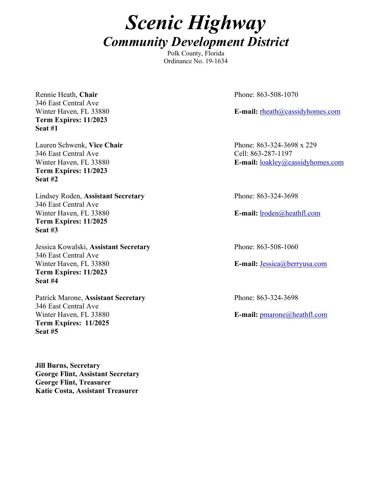# *Scenic Highway Community Development District*

Polk County, Florida Ordinance No. 19-1634

Rennie Heath, Chair<br>
Phone: 863-508-1070 346 East Central Ave **Term Expires: 11/2023 Seat #1**

346 East Central Ave Cell: 863-287-1197 **Term Expires: 11/2023 Seat #2**

Lindsey Roden, **Assistant Secretary** Phone: 863-324-3698 346 East Central Ave Winter Haven, FL 33880 **E-mail:** lroden@heathfl.com **Term Expires: 11/2025 Seat #3**

Jessica Kowalski, **Assistant Secretary** Phone: 863-508-1060 346 East Central Ave Winter Haven, FL 33880 **E-mail:** Jessica@berryusa.com **Term Expires: 11/2023 Seat #4**

Patrick Marone, Assistant Secretary **Phone: 863-324-3698** 346 East Central Ave Winter Haven, FL 33880 **E-mail:** pmarone@heathfl.com **Term Expires: 11/2025 Seat #5**

**Jill Burns, Secretary George Flint, Assistant Secretary George Flint, Treasurer Katie Costa, Assistant Treasurer**

Winter Haven, FL 33880 **E-mail:** rheath@cassidyhomes.com

Lauren Schwenk, **Vice Chair** Phone: 863-324-3698 x 229 Winter Haven, FL 33880 **E-mail:** loakley@cassidyhomes.com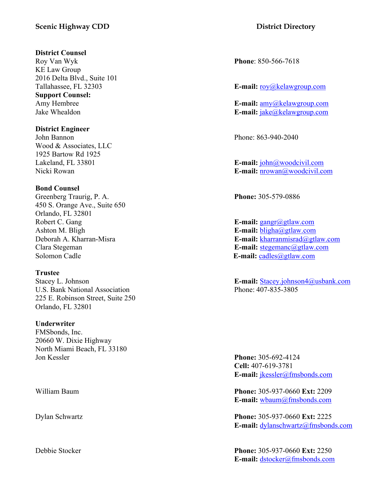# **Scenic Highway CDD District Directory**

#### **District Counsel**

Roy Van Wyk **Phone**: 850-566-7618 KE Law Group 2016 Delta Blvd., Suite 101 **Support Counsel:**

**District Engineer**

John Bannon Phone: 863-940-2040 Wood & Associates, LLC 1925 Bartow Rd 1925

### **Bond Counsel**

Greenberg Traurig, P. A. **Phone:** 305-579-0886 450 S. Orange Ave., Suite 650 Orlando, FL 32801 Robert C. Gang **E-mail:** gangr@gtlaw.com Ashton M. Bligh **E-mail:** bligha@gtlaw.com Solomon Cadle **E-mail:** cadles a set of calles a set of calles a set of calles a set of calles a set of calles a set of calles a set of calles a set of calles a set of calles a set of calles a set of calles a set of calles

**Trustee**

U.S. Bank National Association Phone: 407-835-3805 225 E. Robinson Street, Suite 250 Orlando, FL 32801

### **Underwriter**

FMSbonds, Inc. 20660 W. Dixie Highway North Miami Beach, FL 33180 Jon Kessler **Phone:** 305-692-4124

Tallahassee, FL 32303 **E-mail:** roy@kelawgroup.com

Amy Hembree **E-mail:** amy@kelawgroup.com Jake Whealdon **E-mail:** jake@kelawgroup.com

Lakeland, FL 33801 **E-mail:** john@woodcivil.com Nicki Rowan **E-mail:** nrowan@woodcivil.com

Deborah A. Kharran-Misra **E-mail:** kharranmisrad@gtlaw.com Clara Stegeman **E-mail:** stegemanc@gtlaw.com

Stacey L. Johnson **E-mail:** Stacey.johnson4@usbank.com

**Cell:** 407-619-3781 **E-mail:** jkessler@fmsbonds.com

William Baum **Phone:** 305-937-0660 **Ext:** 2209 **E-mail:** wbaum@fmsbonds.com

Dylan Schwartz **Phone:** 305-937-0660 **Ext:** 2225 **E-mail:** dylanschwartz@fmsbonds.com

Debbie Stocker **Phone:** 305-937-0660 **Ext:** 2250 **E-mail:** dstocker@fmsbonds.com